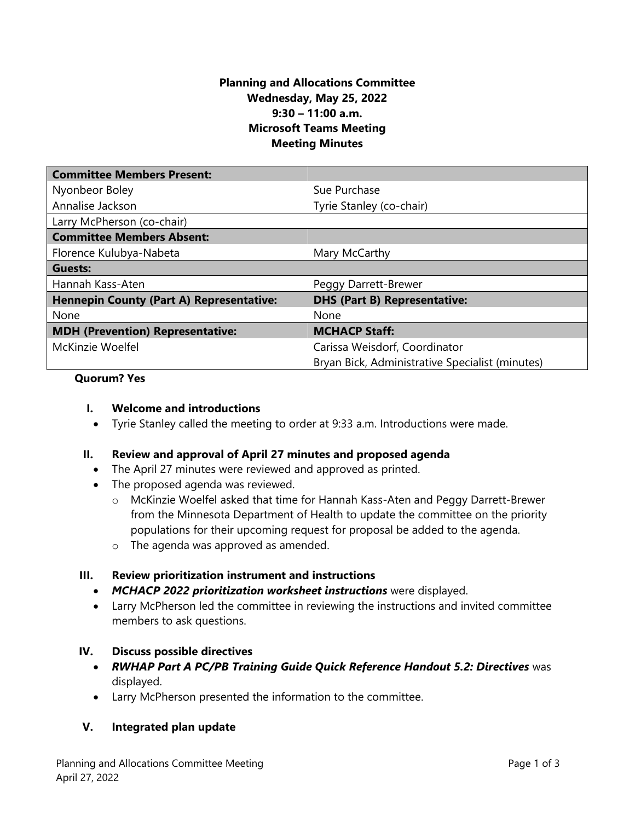## **Planning and Allocations Committee Wednesday, May 25, 2022 9:30 – 11:00 a.m. Microsoft Teams Meeting Meeting Minutes**

| <b>Committee Members Present:</b>               |                                                 |
|-------------------------------------------------|-------------------------------------------------|
| Nyonbeor Boley                                  | Sue Purchase                                    |
| Annalise Jackson                                | Tyrie Stanley (co-chair)                        |
| Larry McPherson (co-chair)                      |                                                 |
| <b>Committee Members Absent:</b>                |                                                 |
| Florence Kulubya-Nabeta                         | Mary McCarthy                                   |
| Guests:                                         |                                                 |
| Hannah Kass-Aten                                | Peggy Darrett-Brewer                            |
| <b>Hennepin County (Part A) Representative:</b> | <b>DHS (Part B) Representative:</b>             |
| None                                            | None                                            |
| <b>MDH (Prevention) Representative:</b>         | <b>MCHACP Staff:</b>                            |
| McKinzie Woelfel                                | Carissa Weisdorf, Coordinator                   |
|                                                 | Bryan Bick, Administrative Specialist (minutes) |

### **Quorum? Yes**

### **I. Welcome and introductions**

• Tyrie Stanley called the meeting to order at 9:33 a.m. Introductions were made.

## **II. Review and approval of April 27 minutes and proposed agenda**

- The April 27 minutes were reviewed and approved as printed.
- The proposed agenda was reviewed.
	- o McKinzie Woelfel asked that time for Hannah Kass-Aten and Peggy Darrett-Brewer from the Minnesota Department of Health to update the committee on the priority populations for their upcoming request for proposal be added to the agenda.
	- o The agenda was approved as amended.

### **III. Review prioritization instrument and instructions**

- *MCHACP 2022 prioritization worksheet instructions* were displayed.
- Larry McPherson led the committee in reviewing the instructions and invited committee members to ask questions.

### **IV. Discuss possible directives**

- *RWHAP Part A PC/PB Training Guide Quick Reference Handout 5.2: Directives* was displayed.
- Larry McPherson presented the information to the committee.

## **V. Integrated plan update**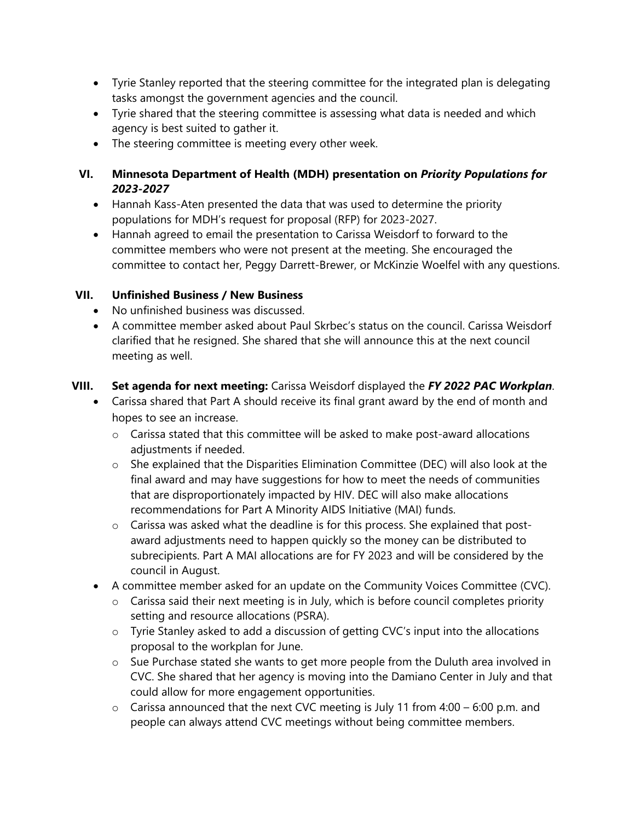- Tyrie Stanley reported that the steering committee for the integrated plan is delegating tasks amongst the government agencies and the council.
- Tyrie shared that the steering committee is assessing what data is needed and which agency is best suited to gather it.
- The steering committee is meeting every other week.

# **VI. Minnesota Department of Health (MDH) presentation on** *Priority Populations for 2023-2027*

- Hannah Kass-Aten presented the data that was used to determine the priority populations for MDH's request for proposal (RFP) for 2023-2027.
- Hannah agreed to email the presentation to Carissa Weisdorf to forward to the committee members who were not present at the meeting. She encouraged the committee to contact her, Peggy Darrett-Brewer, or McKinzie Woelfel with any questions.

# **VII. Unfinished Business / New Business**

- No unfinished business was discussed.
- A committee member asked about Paul Skrbec's status on the council. Carissa Weisdorf clarified that he resigned. She shared that she will announce this at the next council meeting as well.

# **VIII. Set agenda for next meeting:** Carissa Weisdorf displayed the *FY 2022 PAC Workplan*.

- Carissa shared that Part A should receive its final grant award by the end of month and hopes to see an increase.
	- o Carissa stated that this committee will be asked to make post-award allocations adjustments if needed.
	- o She explained that the Disparities Elimination Committee (DEC) will also look at the final award and may have suggestions for how to meet the needs of communities that are disproportionately impacted by HIV. DEC will also make allocations recommendations for Part A Minority AIDS Initiative (MAI) funds.
	- o Carissa was asked what the deadline is for this process. She explained that postaward adjustments need to happen quickly so the money can be distributed to subrecipients. Part A MAI allocations are for FY 2023 and will be considered by the council in August.
- A committee member asked for an update on the Community Voices Committee (CVC).
	- o Carissa said their next meeting is in July, which is before council completes priority setting and resource allocations (PSRA).
	- o Tyrie Stanley asked to add a discussion of getting CVC's input into the allocations proposal to the workplan for June.
	- o Sue Purchase stated she wants to get more people from the Duluth area involved in CVC. She shared that her agency is moving into the Damiano Center in July and that could allow for more engagement opportunities.
	- $\circ$  Carissa announced that the next CVC meeting is July 11 from 4:00 6:00 p.m. and people can always attend CVC meetings without being committee members.